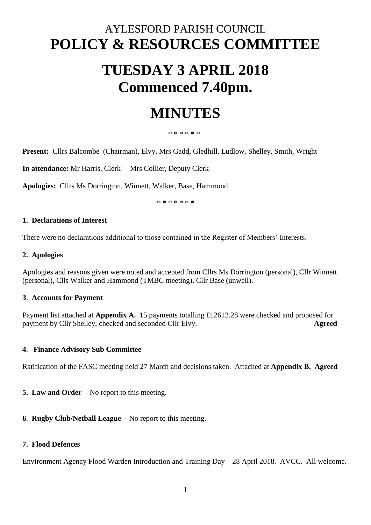## AYLESFORD PARISH COUNCIL **POLICY & RESOURCES COMMITTEE**

# **TUESDAY 3 APRIL 2018 Commenced 7.40pm.**

## **MINUTES**

#### \* \* \* \* \* \*

**Present:** Cllrs Balcombe (Chairman), Elvy, Mrs Gadd, Gledhill, Ludlow, Shelley, Smith, Wright

**In attendance:** Mr Harris, Clerk Mrs Collier, Deputy Clerk

**Apologies:** Cllrs Ms Dorrington, Winnett, Walker, Base, Hammond

\* \* \* \* \* \* \*

#### **1. Declarations of Interest**

There were no declarations additional to those contained in the Register of Members' Interests.

#### **2. Apologies**

Apologies and reasons given were noted and accepted from Cllrs Ms Dorrington (personal), Cllr Winnett (personal), Clls Walker and Hammond (TMBC meeting), Cllr Base (unwell).

#### **3**. **Accounts for Payment**

Payment list attached at **Appendix A.** 15 payments totalling £12612.28 were checked and proposed for payment by Cllr Shelley, checked and seconded Cllr Elvy. **Agreed**

### **4**. **Finance Advisory Sub Committee**

Ratification of the FASC meeting held 27 March and decisions taken. Attached at **Appendix B. Agreed**

### **5. Law and Order** - No report to this meeting.

**6**. **Rugby Club/Netball League -** No report to this meeting.

#### **7. Flood Defences**

Environment Agency Flood Warden Introduction and Training Day – 28 April 2018. AVCC. All welcome.